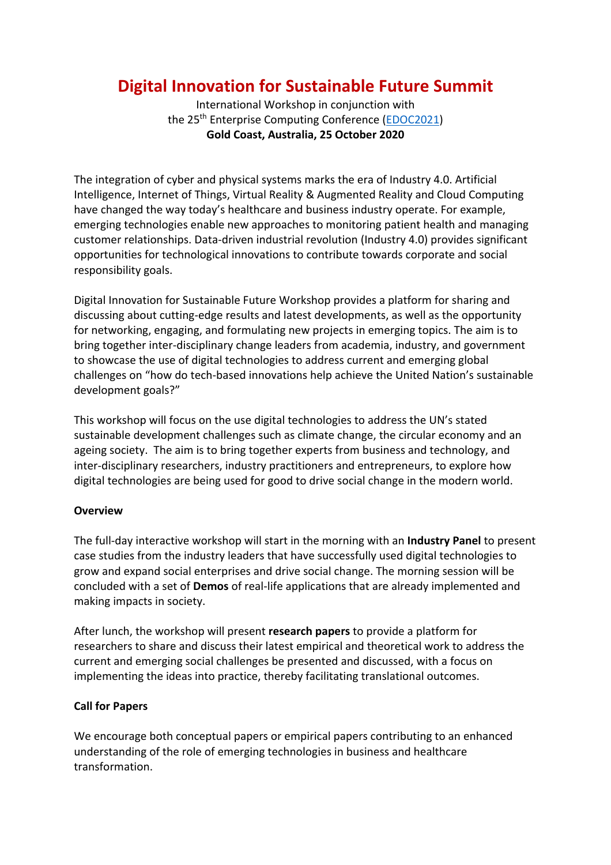# **Digital Innovation for Sustainable Future Summit**

International Workshop in conjunction with the 25th Enterprise Computing Conference (EDOC2021) **Gold Coast, Australia, 25 October 2020**

The integration of cyber and physical systems marks the era of Industry 4.0. Artificial Intelligence, Internet of Things, Virtual Reality & Augmented Reality and Cloud Computing have changed the way today's healthcare and business industry operate. For example, emerging technologies enable new approaches to monitoring patient health and managing customer relationships. Data-driven industrial revolution (Industry 4.0) provides significant opportunities for technological innovations to contribute towards corporate and social responsibility goals.

Digital Innovation for Sustainable Future Workshop provides a platform for sharing and discussing about cutting-edge results and latest developments, as well as the opportunity for networking, engaging, and formulating new projects in emerging topics. The aim is to bring together inter-disciplinary change leaders from academia, industry, and government to showcase the use of digital technologies to address current and emerging global challenges on "how do tech-based innovations help achieve the United Nation's sustainable development goals?"

This workshop will focus on the use digital technologies to address the UN's stated sustainable development challenges such as climate change, the circular economy and an ageing society. The aim is to bring together experts from business and technology, and inter-disciplinary researchers, industry practitioners and entrepreneurs, to explore how digital technologies are being used for good to drive social change in the modern world.

## **Overview**

The full-day interactive workshop will start in the morning with an **Industry Panel** to present case studies from the industry leaders that have successfully used digital technologies to grow and expand social enterprises and drive social change. The morning session will be concluded with a set of **Demos** of real-life applications that are already implemented and making impacts in society.

After lunch, the workshop will present **research papers** to provide a platform for researchers to share and discuss their latest empirical and theoretical work to address the current and emerging social challenges be presented and discussed, with a focus on implementing the ideas into practice, thereby facilitating translational outcomes.

## **Call for Papers**

We encourage both conceptual papers or empirical papers contributing to an enhanced understanding of the role of emerging technologies in business and healthcare transformation.